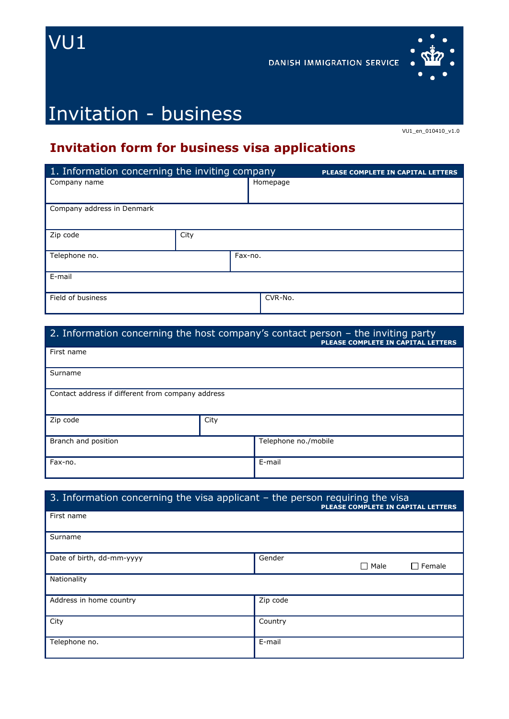

**DANISH IMMIGRATION SERVICE** 



# Invitation - business

VU1\_en\_010410\_v1.0

## **Invitation form for business visa applications**

| 1. Information concerning the inviting company |      |         | PLEASE COMPLETE IN CAPITAL LETTERS |  |
|------------------------------------------------|------|---------|------------------------------------|--|
| Company name                                   |      |         | Homepage                           |  |
| Company address in Denmark                     |      |         |                                    |  |
| Zip code                                       | City |         |                                    |  |
| Telephone no.                                  |      | Fax-no. |                                    |  |
| E-mail                                         |      |         |                                    |  |
| Field of business                              |      |         | CVR-No.                            |  |

#### 2. Information concerning the host company's contact person – the inviting party **PLEASE COMPLETE IN CAPITAL LETTERS**

| First name                                        |      |                      |  |
|---------------------------------------------------|------|----------------------|--|
| Surname                                           |      |                      |  |
| Contact address if different from company address |      |                      |  |
| Zip code                                          | City |                      |  |
| Branch and position                               |      | Telephone no./mobile |  |
| Fax-no.                                           |      | E-mail               |  |

### 3. Information concerning the visa applicant – the person requiring the visa

| -                         | . .<br>PLEASE COMPLETE IN CAPITAL LETTERS |
|---------------------------|-------------------------------------------|
| First name                |                                           |
| Surname                   |                                           |
| Date of birth, dd-mm-yyyy | Gender<br>$\Box$ Female<br>$\Box$ Male    |
| Nationality               |                                           |
| Address in home country   | Zip code                                  |
| City                      | Country                                   |
| Telephone no.             | E-mail                                    |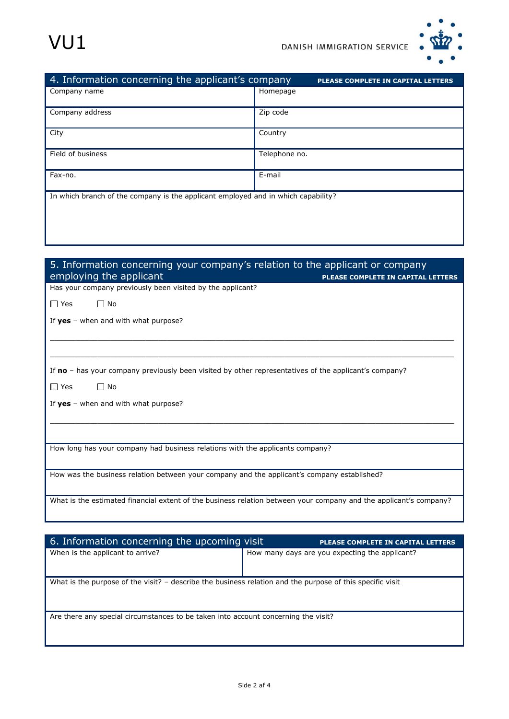

| 4. Information concerning the applicant's company                                 | PLEASE COMPLETE IN CAPITAL LETTERS |  |
|-----------------------------------------------------------------------------------|------------------------------------|--|
| Company name                                                                      | Homepage                           |  |
| Company address                                                                   | Zip code                           |  |
| City                                                                              | Country                            |  |
| Field of business                                                                 | Telephone no.                      |  |
| Fax-no.                                                                           | E-mail                             |  |
| In which branch of the company is the applicant employed and in which capability? |                                    |  |

| 5. Information concerning your company's relation to the applicant or company<br>employing the applicant<br>PLEASE COMPLETE IN CAPITAL LETTERS |
|------------------------------------------------------------------------------------------------------------------------------------------------|
| Has your company previously been visited by the applicant?                                                                                     |
| $\Box$ No<br>$\Box$ Yes                                                                                                                        |
| If $yes$ – when and with what purpose?                                                                                                         |
|                                                                                                                                                |
|                                                                                                                                                |
| If no – has your company previously been visited by other representatives of the applicant's company?                                          |
| $\Box$ Yes<br>$\Box$ No                                                                                                                        |
| If $yes$ - when and with what purpose?                                                                                                         |
|                                                                                                                                                |
|                                                                                                                                                |
| How long has your company had business relations with the applicants company?                                                                  |
|                                                                                                                                                |
| How was the business relation between your company and the applicant's company established?                                                    |
| What is the estimated financial extent of the business relation between your company and the applicant's company?                              |
|                                                                                                                                                |

| 6. Information concerning the upcoming visit                                                              | <b>PLEASE COMPLETE IN CAPITAL LETTERS</b>      |
|-----------------------------------------------------------------------------------------------------------|------------------------------------------------|
| When is the applicant to arrive?                                                                          | How many days are you expecting the applicant? |
|                                                                                                           |                                                |
|                                                                                                           |                                                |
| What is the purpose of the visit? – describe the business relation and the purpose of this specific visit |                                                |
|                                                                                                           |                                                |
|                                                                                                           |                                                |
| Are there any special circumstances to be taken into account concerning the visit?                        |                                                |
|                                                                                                           |                                                |
|                                                                                                           |                                                |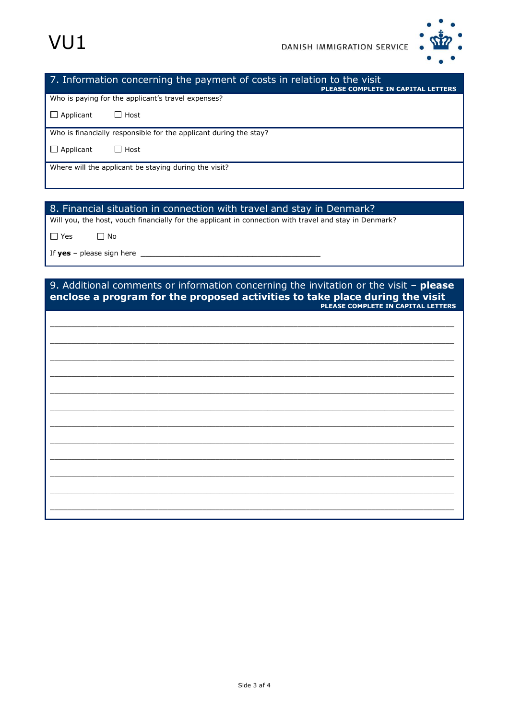



#### 7. Information concerning the payment of costs in relation to the visit **PLEASE COMPLETE IN CAPITAL LETTERS**

Who is paying for the applicant's travel expenses?

 $\Box$  Applicant  $\Box$  Host

Who is financially responsible for the applicant during the stay?

 $\Box$  Applicant  $\Box$  Host

Where will the applicant be staying during the visit?

#### 8. Financial situation in connection with travel and stay in Denmark?

Will you, the host, vouch financially for the applicant in connection with travel and stay in Denmark?

 $\Box$  Yes  $\Box$  No

If **yes** – please sign here

#### 9. Additional comments or information concerning the invitation or the visit – **please enclose a program for the proposed activities to take place during the visit PLEASE COMPLETE IN CAPITAL LETTERS**